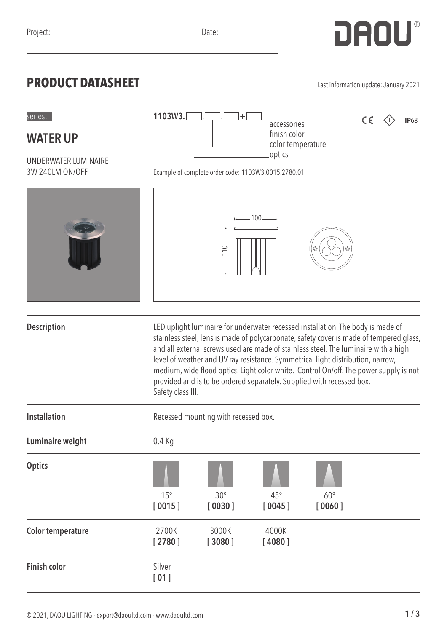**WATER UP**

## **PRODUCT DATASHEET** Last information update: January 2021

accessories finish color

| WAIER UF                                |                                                                                                                                                                                                                                                                                                                                                                                                                                                                                                                                             |                 | color temperature |            |  |
|-----------------------------------------|---------------------------------------------------------------------------------------------------------------------------------------------------------------------------------------------------------------------------------------------------------------------------------------------------------------------------------------------------------------------------------------------------------------------------------------------------------------------------------------------------------------------------------------------|-----------------|-------------------|------------|--|
| UNDERWATER LUMINAIRE<br>3W 240LM ON/OFF | optics<br>Example of complete order code: 1103W3.0015.2780.01                                                                                                                                                                                                                                                                                                                                                                                                                                                                               |                 |                   |            |  |
|                                         |                                                                                                                                                                                                                                                                                                                                                                                                                                                                                                                                             | 110             | $-100$ $-$        |            |  |
| <b>Description</b>                      |                                                                                                                                                                                                                                                                                                                                                                                                                                                                                                                                             |                 |                   |            |  |
|                                         | LED uplight luminaire for underwater recessed installation. The body is made of<br>stainless steel, lens is made of polycarbonate, safety cover is made of tempered glass,<br>and all external screws used are made of stainless steel. The luminaire with a high<br>level of weather and UV ray resistance. Symmetrical light distribution, narrow,<br>medium, wide flood optics. Light color white. Control On/off. The power supply is not<br>provided and is to be ordered separately. Supplied with recessed box.<br>Safety class III. |                 |                   |            |  |
| <b>Installation</b>                     | Recessed mounting with recessed box.                                                                                                                                                                                                                                                                                                                                                                                                                                                                                                        |                 |                   |            |  |
| Luminaire weight                        | $0.4$ Kg                                                                                                                                                                                                                                                                                                                                                                                                                                                                                                                                    |                 |                   |            |  |
| <b>Optics</b>                           | $15^\circ$                                                                                                                                                                                                                                                                                                                                                                                                                                                                                                                                  | $30^\circ$      | $45^{\circ}$      | $60^\circ$ |  |
|                                         | [0015]                                                                                                                                                                                                                                                                                                                                                                                                                                                                                                                                      | [0030]          | [0045]            | [0060]     |  |
| <b>Color temperature</b>                | 2700K<br>[2780]                                                                                                                                                                                                                                                                                                                                                                                                                                                                                                                             | 3000K<br>[3080] | 4000K<br>[4080]   |            |  |
| <b>Finish color</b>                     | Silver<br>[01]                                                                                                                                                                                                                                                                                                                                                                                                                                                                                                                              |                 |                   |            |  |

series: . . +

**1103W3.**

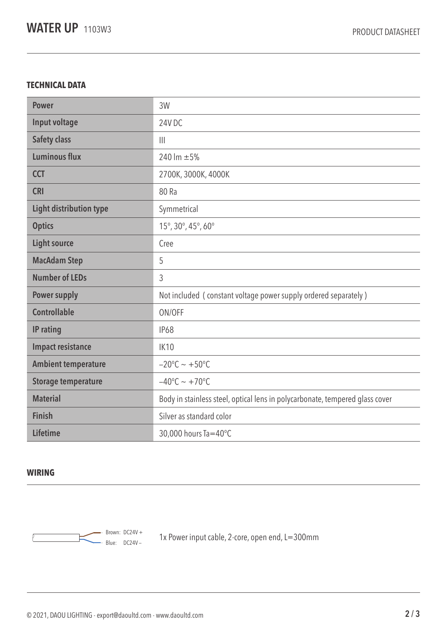## **TECHNICAL DATA**

| <b>Power</b>                   | 3W                                                                           |  |
|--------------------------------|------------------------------------------------------------------------------|--|
| Input voltage                  | 24V DC                                                                       |  |
| <b>Safety class</b>            | $\mathbf{III}$                                                               |  |
| <b>Luminous flux</b>           | 240 lm $\pm$ 5%                                                              |  |
| <b>CCT</b>                     | 2700K, 3000K, 4000K                                                          |  |
| <b>CRI</b>                     | 80 Ra                                                                        |  |
| <b>Light distribution type</b> | Symmetrical                                                                  |  |
| <b>Optics</b>                  | 15°, 30°, 45°, 60°                                                           |  |
| <b>Light source</b>            | Cree                                                                         |  |
| <b>MacAdam Step</b>            | 5                                                                            |  |
| <b>Number of LEDs</b>          | 3                                                                            |  |
| <b>Power supply</b>            | Not included (constant voltage power supply ordered separately)              |  |
| <b>Controllable</b>            | ON/OFF                                                                       |  |
| IP rating                      | <b>IP68</b>                                                                  |  |
| <b>Impact resistance</b>       | <b>IK10</b>                                                                  |  |
| <b>Ambient temperature</b>     | $-20^{\circ}$ C ~ +50°C                                                      |  |
| <b>Storage temperature</b>     | $-40^{\circ}$ C ~ +70°C                                                      |  |
| <b>Material</b>                | Body in stainless steel, optical lens in polycarbonate, tempered glass cover |  |
| <b>Finish</b>                  | Silver as standard color                                                     |  |
| <b>Lifetime</b>                | 30,000 hours Ta=40°C                                                         |  |

## **WIRING**



 $\frac{1}{2}$  Brown: DC24V + 1x Power input cable, 2-core, open end, L=300mm